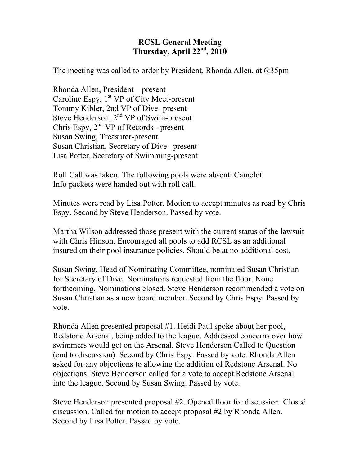## **RCSL General Meeting Thursday, April 22nd, 2010**

The meeting was called to order by President, Rhonda Allen, at 6:35pm

Rhonda Allen, President—present Caroline Espy,  $1<sup>st</sup> VP$  of City Meet-present Tommy Kibler, 2nd VP of Dive- present Steve Henderson, 2<sup>nd</sup> VP of Swim-present Chris Espy,  $2<sup>nd</sup> VP$  of Records - present Susan Swing, Treasurer-present Susan Christian, Secretary of Dive –present Lisa Potter, Secretary of Swimming-present

Roll Call was taken. The following pools were absent: Camelot Info packets were handed out with roll call.

Minutes were read by Lisa Potter. Motion to accept minutes as read by Chris Espy. Second by Steve Henderson. Passed by vote.

Martha Wilson addressed those present with the current status of the lawsuit with Chris Hinson. Encouraged all pools to add RCSL as an additional insured on their pool insurance policies. Should be at no additional cost.

Susan Swing, Head of Nominating Committee, nominated Susan Christian for Secretary of Dive. Nominations requested from the floor. None forthcoming. Nominations closed. Steve Henderson recommended a vote on Susan Christian as a new board member. Second by Chris Espy. Passed by vote.

Rhonda Allen presented proposal #1. Heidi Paul spoke about her pool, Redstone Arsenal, being added to the league. Addressed concerns over how swimmers would get on the Arsenal. Steve Henderson Called to Question (end to discussion). Second by Chris Espy. Passed by vote. Rhonda Allen asked for any objections to allowing the addition of Redstone Arsenal. No objections. Steve Henderson called for a vote to accept Redstone Arsenal into the league. Second by Susan Swing. Passed by vote.

Steve Henderson presented proposal #2. Opened floor for discussion. Closed discussion. Called for motion to accept proposal #2 by Rhonda Allen. Second by Lisa Potter. Passed by vote.